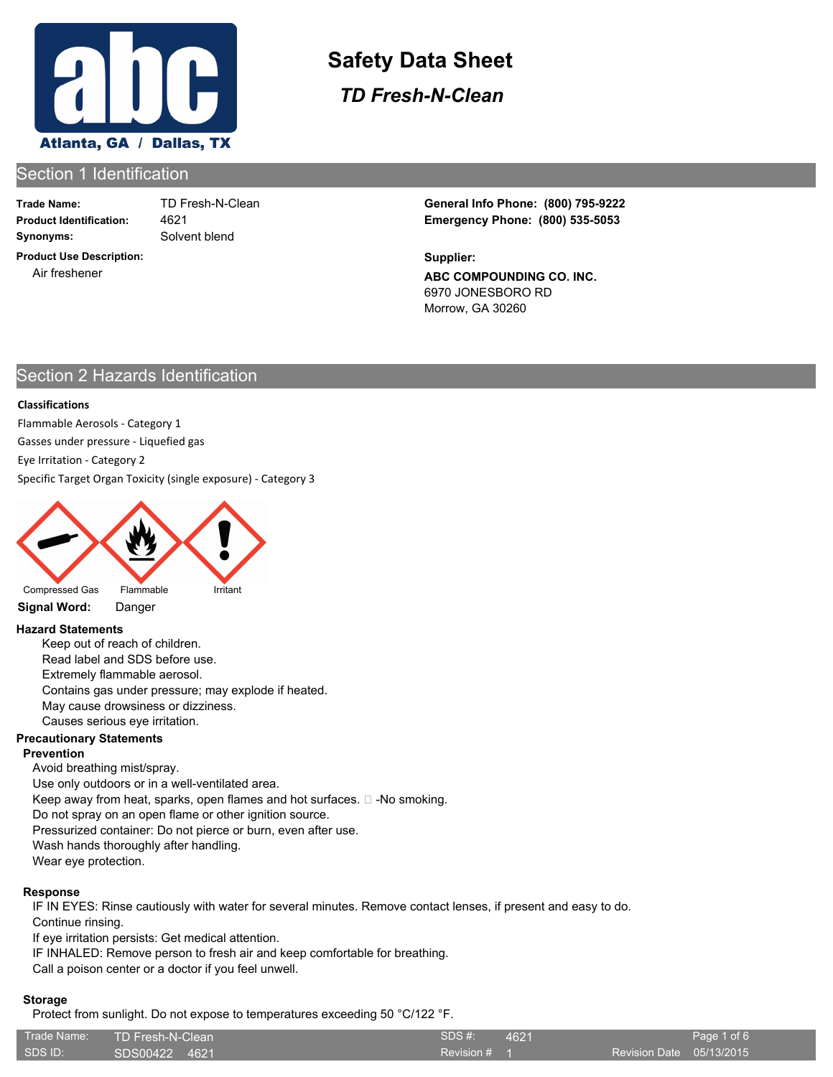

*TD Fresh-N-Clean*

# Section 1 Identification

**Trade Name: Synonyms:** Solvent blend

4621

**Product Use Description:** Air freshener

**Product Identification: Emergency Phone: (800) 535-5053** TD Fresh-N-Clean **General Info Phone: (800) 795-9222**

> **ABC COMPOUNDING CO. INC.** 6970 JONESBORO RD Morrow, GA 30260 **Supplier:**

# Section 2 Hazards Identification

#### **Classifications**

Flammable Aerosols - Category 1

Gasses under pressure - Liquefied gas

Eye Irritation - Category 2

Specific Target Organ Toxicity (single exposure) - Category 3



#### **Signal Word:** Danger

#### **Hazard Statements**

Keep out of reach of children. Read label and SDS before use. Extremely flammable aerosol. Contains gas under pressure; may explode if heated. May cause drowsiness or dizziness. Causes serious eye irritation.

#### **Precautionary Statements**

#### **Prevention**

Avoid breathing mist/spray. Use only outdoors or in a well-ventilated area. Keep away from heat, sparks, open flames and hot surfaces.  $\square$  -No smoking. Do not spray on an open flame or other ignition source.

Pressurized container: Do not pierce or burn, even after use.

Wash hands thoroughly after handling.

Wear eye protection.

#### **Response**

IF IN EYES: Rinse cautiously with water for several minutes. Remove contact lenses, if present and easy to do. Continue rinsing.

If eye irritation persists: Get medical attention.

IF INHALED: Remove person to fresh air and keep comfortable for breathing.

Call a poison center or a doctor if you feel unwell.

#### **Storage**

Protect from sunlight. Do not expose to temperatures exceeding 50 °C/122 °F.

| Trade Name: | TD Fresh-N-Clean | SDS #:         | 4621 |                          | Page 1 of 6 |
|-------------|------------------|----------------|------|--------------------------|-------------|
| SDS ID:     | SDS00422 4621    | Revision $# 1$ |      | Revision Date 05/13/2015 |             |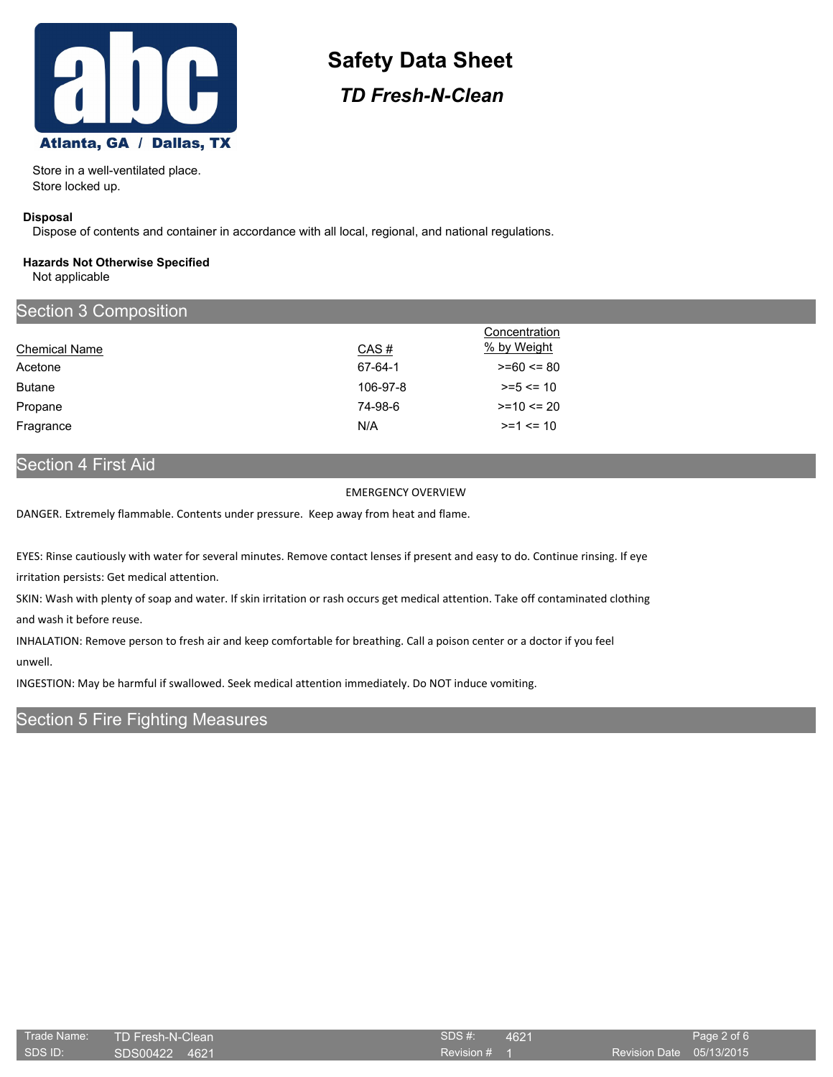

*TD Fresh-N-Clean*

Store in a well-ventilated place. Store locked up.

#### **Disposal**

Dispose of contents and container in accordance with all local, regional, and national regulations.

#### **Hazards Not Otherwise Specified** Not applicable

| <b>Section 3 Composition</b> |          |                |
|------------------------------|----------|----------------|
|                              |          | Concentration  |
| <b>Chemical Name</b>         | CAS#     | % by Weight    |
| Acetone                      | 67-64-1  | $>= 60 \le 80$ |
| <b>Butane</b>                | 106-97-8 | $>= 5 \le 10$  |
| Propane                      | 74-98-6  | $>= 10 \le 20$ |
| Fragrance                    | N/A      | $>=1$ $<= 10$  |

# Section 4 First Aid

#### EMERGENCY OVERVIEW

DANGER. Extremely flammable. Contents under pressure. Keep away from heat and flame.

EYES: Rinse cautiously with water for several minutes. Remove contact lenses if present and easy to do. Continue rinsing. If eye

irritation persists: Get medical attention.

SKIN: Wash with plenty of soap and water. If skin irritation or rash occurs get medical attention. Take off contaminated clothing and wash it before reuse.

INHALATION: Remove person to fresh air and keep comfortable for breathing. Call a poison center or a doctor if you feel unwell.

INGESTION: May be harmful if swallowed. Seek medical attention immediately. Do NOT induce vomiting.

## Section 5 Fire Fighting Measures

| Trade Name: | TD Fresh-N-Clean | SDS#    |
|-------------|------------------|---------|
| SDS ID:     | ISDS00422 4621   | Revisio |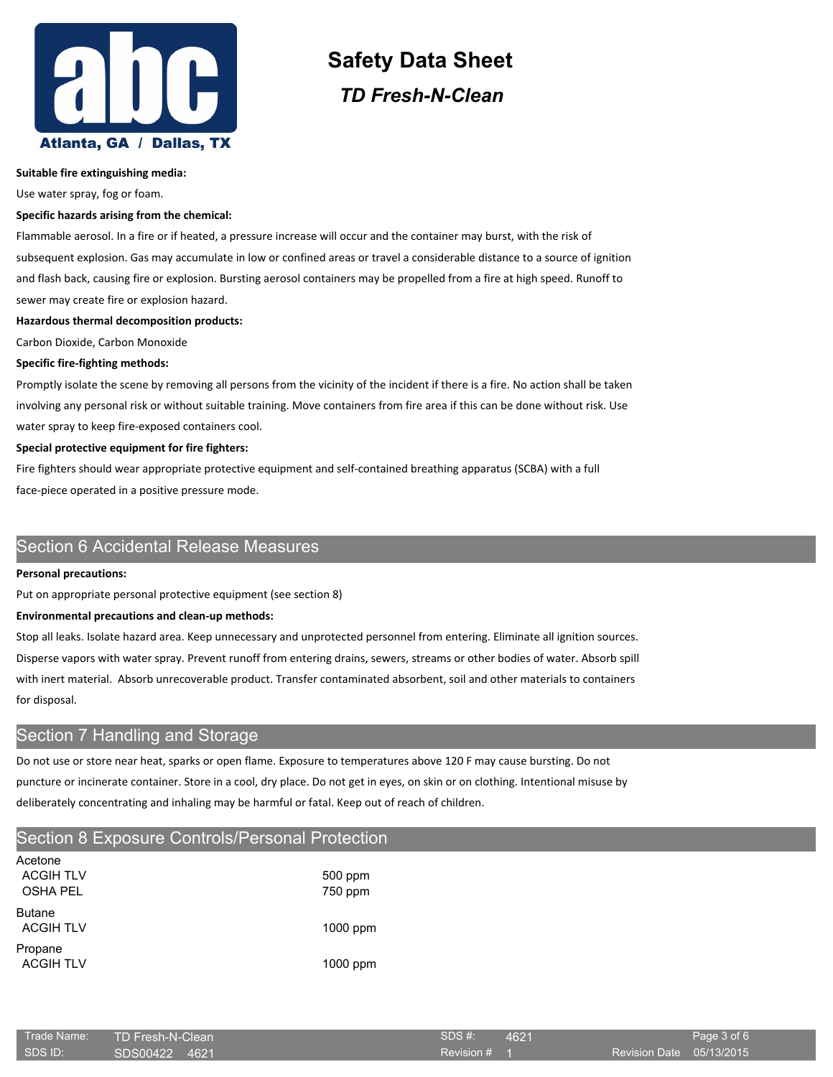

# **Safety Data Sheet** *TD Fresh-N-Clean*

#### **Suitable fire extinguishing media:**

Use water spray, fog or foam.

#### **Specific hazards arising from the chemical:**

Flammable aerosol. In a fire or if heated, a pressure increase will occur and the container may burst, with the risk of subsequent explosion. Gas may accumulate in low or confined areas or travel a considerable distance to a source of ignition and flash back, causing fire or explosion. Bursting aerosol containers may be propelled from a fire at high speed. Runoff to sewer may create fire or explosion hazard.

#### **Hazardous thermal decomposition products:**

Carbon Dioxide, Carbon Monoxide

#### **Specific fire-fighting methods:**

Promptly isolate the scene by removing all persons from the vicinity of the incident if there is a fire. No action shall be taken involving any personal risk or without suitable training. Move containers from fire area if this can be done without risk. Use water spray to keep fire-exposed containers cool.

#### **Special protective equipment for fire fighters:**

Fire fighters should wear appropriate protective equipment and self-contained breathing apparatus (SCBA) with a full face-piece operated in a positive pressure mode.

## Section 6 Accidental Release Measures

#### **Personal precautions:**

Put on appropriate personal protective equipment (see section 8)

#### **Environmental precautions and clean-up methods:**

Stop all leaks. Isolate hazard area. Keep unnecessary and unprotected personnel from entering. Eliminate all ignition sources. Disperse vapors with water spray. Prevent runoff from entering drains, sewers, streams or other bodies of water. Absorb spill with inert material. Absorb unrecoverable product. Transfer contaminated absorbent, soil and other materials to containers for disposal.

# Section 7 Handling and Storage

Do not use or store near heat, sparks or open flame. Exposure to temperatures above 120 F may cause bursting. Do not puncture or incinerate container. Store in a cool, dry place. Do not get in eyes, on skin or on clothing. Intentional misuse by deliberately concentrating and inhaling may be harmful or fatal. Keep out of reach of children.

# Section 8 Exposure Controls/Personal Protection

| Acetone<br><b>ACGIH TLV</b><br><b>OSHA PEL</b> | 500 ppm<br>750 ppm |
|------------------------------------------------|--------------------|
| <b>Butane</b><br><b>ACGIH TLV</b>              | $1000$ ppm         |
| Propane<br><b>ACGIH TLV</b>                    | $1000$ ppm         |

|         | Trade Name: TD Fresh-N-Clean | SDS #:       | 4621 |                          | Page 3 of 6 |
|---------|------------------------------|--------------|------|--------------------------|-------------|
| SDS ID: | SDS00422 4621                | Revision # 1 |      | Revision Date 05/13/2015 |             |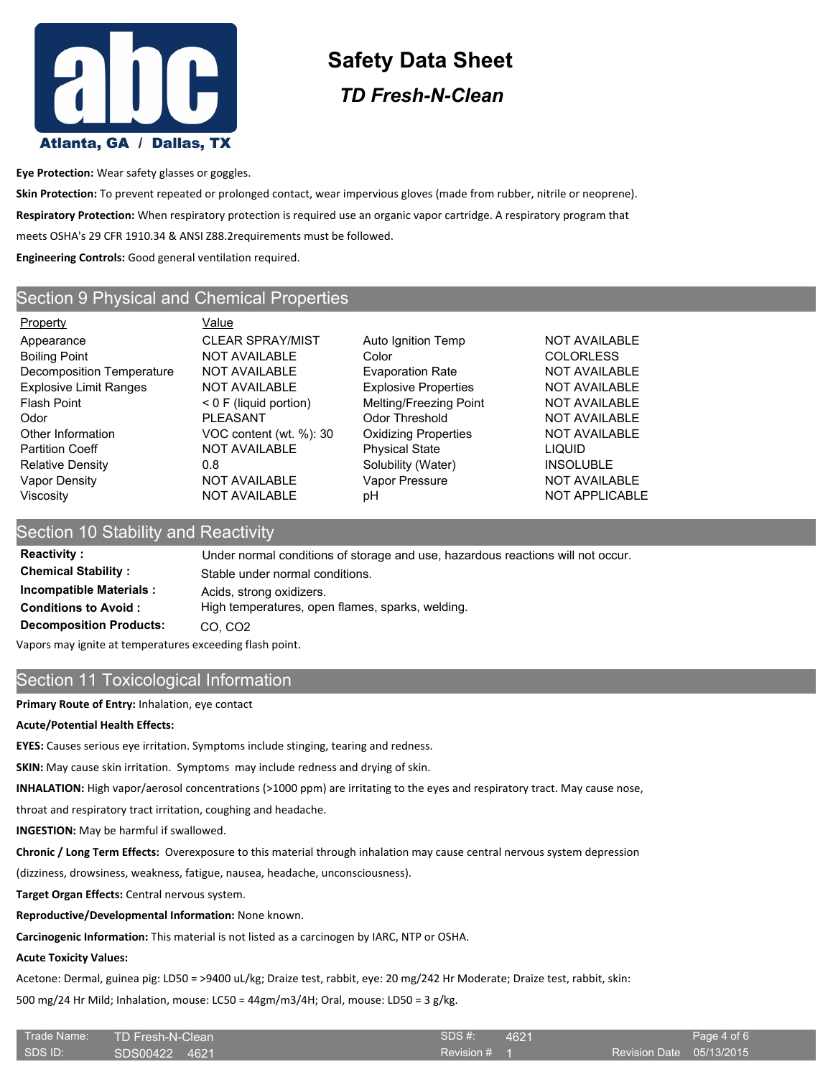

*TD Fresh-N-Clean*

**Eye Protection:** Wear safety glasses or goggles.

**Skin Protection:** To prevent repeated or prolonged contact, wear impervious gloves (made from rubber, nitrile or neoprene). **Respiratory Protection:** When respiratory protection is required use an organic vapor cartridge. A respiratory program that meets OSHA's 29 CFR 1910.34 & ANSI Z88.2requirements must be followed. **Engineering Controls:** Good general ventilation required.

# Section 9 Physical and Chemical Properties

Property **Value** Appearance **CLEAR SPRAY/MIST** Auto Ignition Temp NOT AVAILABLE Boiling Point **NOT AVAILABLE** Color Color COLORLESS Decomposition Temperature NOT AVAILABLE Evaporation Rate NOT AVAILABLE Explosive Limit Ranges NOT AVAILABLE Explosive Properties NOT AVAILABLE Flash Point < 0 F (liquid portion) Melting/Freezing Point NOT AVAILABLE Odor **PLEASANT** Odor Threshold NOT AVAILABLE Other Information **VOC content (wt. %): 30** Oxidizing Properties NOT AVAILABLE Partition Coeff **NOT AVAILABLE** Physical State **LIQUID** Relative Density **CONFING 18 CONSOLUTE:** 0.8 Solubility (Water) **INSOLUBLE** Vapor Density **NOT AVAILABLE** Vapor Pressure NOT AVAILABLE Viscosity **NOT AVAILABLE** pH NOT APPLICABLE

# Section 10 Stability and Reactivity

**Reactivity :** Under normal conditions of storage and use, hazardous reactions will not occur. **Chemical Stability :** Stable under normal conditions. **Incompatible Materials :** Acids, strong oxidizers. **Conditions to Avoid :** High temperatures, open flames, sparks, welding. **Decomposition Products:** CO, CO2

Vapors may ignite at temperatures exceeding flash point.

# Section 11 Toxicological Information

**Primary Route of Entry:** Inhalation, eye contact

#### **Acute/Potential Health Effects:**

**EYES:** Causes serious eye irritation. Symptoms include stinging, tearing and redness.

**SKIN:** May cause skin irritation. Symptoms may include redness and drying of skin.

**INHALATION:** High vapor/aerosol concentrations (>1000 ppm) are irritating to the eyes and respiratory tract. May cause nose,

throat and respiratory tract irritation, coughing and headache.

**INGESTION:** May be harmful if swallowed.

**Chronic / Long Term Effects:** Overexposure to this material through inhalation may cause central nervous system depression

(dizziness, drowsiness, weakness, fatigue, nausea, headache, unconsciousness).

**Target Organ Effects:** Central nervous system.

**Reproductive/Developmental Information:** None known.

**Carcinogenic Information:** This material is not listed as a carcinogen by IARC, NTP or OSHA.

#### **Acute Toxicity Values:**

Acetone: Dermal, guinea pig: LD50 = >9400 uL/kg; Draize test, rabbit, eye: 20 mg/242 Hr Moderate; Draize test, rabbit, skin:

500 mg/24 Hr Mild; Inhalation, mouse: LC50 = 44gm/m3/4H; Oral, mouse: LD50 = 3 g/kg.

| Trade Name: | TD Fresh-N-Clean | SDS #:       | 4621 |                          | Page 4 of 6 |
|-------------|------------------|--------------|------|--------------------------|-------------|
| SDS ID:     | SDS00422 4621    | Revision # 1 |      | Revision Date 05/13/2015 |             |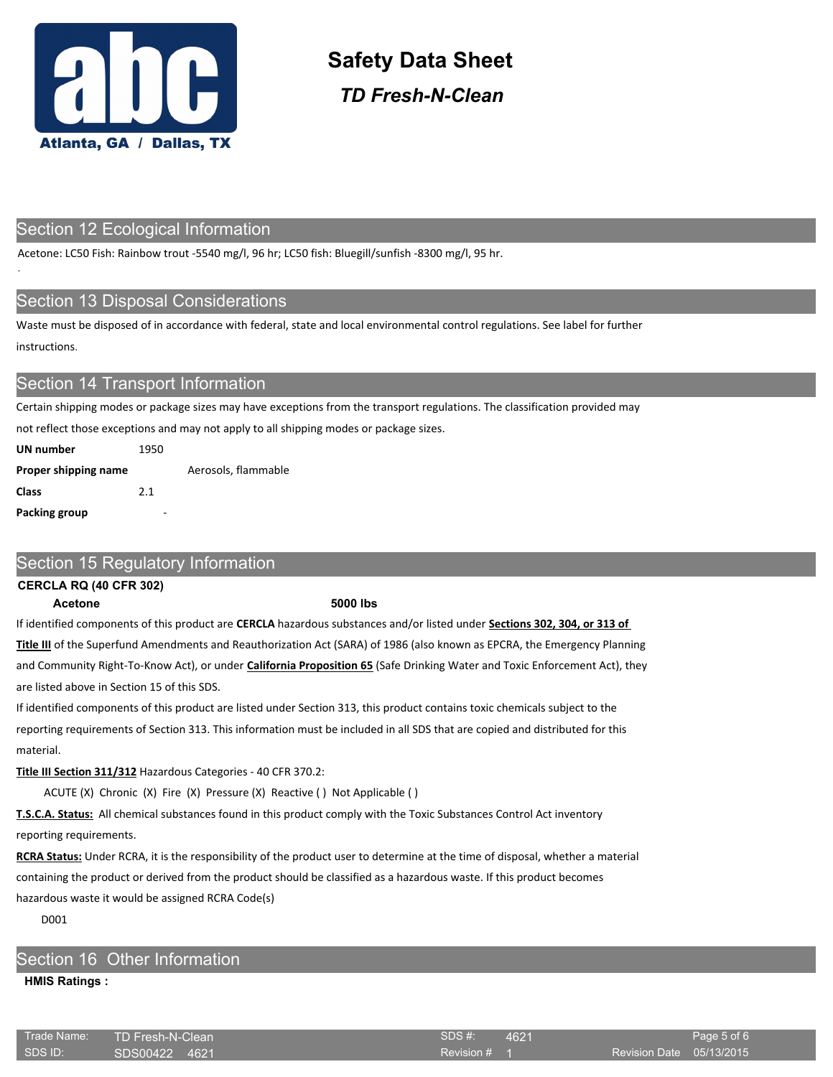

*TD Fresh-N-Clean*

### Section 12 Ecological Information

Acetone: LC50 Fish: Rainbow trout -5540 mg/l, 96 hr; LC50 fish: Bluegill/sunfish -8300 mg/l, 95 hr.

### Section 13 Disposal Considerations

Waste must be disposed of in accordance with federal, state and local environmental control regulations. See label for further instructions.

## **Section 14 Transport Information**

Certain shipping modes or package sizes may have exceptions from the transport regulations. The classification provided may

not reflect those exceptions and may not apply to all shipping modes or package sizes.

| UN number            | 1950 |                     |
|----------------------|------|---------------------|
| Proper shipping name |      | Aerosols, flammable |
| Class                | 2.1  |                     |
| Packing group        |      |                     |

### Section 15 Regulatory Information

#### **CERCLA RQ (40 CFR 302)**

.

#### **Acetone 5000 lbs**

If identified components of this product are **CERCLA** hazardous substances and/or listed under **Sections 302, 304, or 313 of** 

**Title III** of the Superfund Amendments and Reauthorization Act (SARA) of 1986 (also known as EPCRA, the Emergency Planning and Community Right-To-Know Act), or under **California Proposition 65** (Safe Drinking Water and Toxic Enforcement Act), they are listed above in Section 15 of this SDS.

If identified components of this product are listed under Section 313, this product contains toxic chemicals subject to the reporting requirements of Section 313. This information must be included in all SDS that are copied and distributed for this material.

#### **Title III Section 311/312** Hazardous Categories - 40 CFR 370.2:

ACUTE (X) Chronic (X) Fire (X) Pressure (X) Reactive ( ) Not Applicable ( )

**T.S.C.A. Status:** All chemical substances found in this product comply with the Toxic Substances Control Act inventory reporting requirements.

**RCRA Status:** Under RCRA, it is the responsibility of the product user to determine at the time of disposal, whether a material containing the product or derived from the product should be classified as a hazardous waste. If this product becomes hazardous waste it would be assigned RCRA Code(s)

D001

# Section 16 Other Information

#### **HMIS Ratings :**

| Trade Name: | TD Fresh-N-Clean | SDS #:       | 4621 |                          | Page 5 of 6' |
|-------------|------------------|--------------|------|--------------------------|--------------|
| i SDS ID:   | ISDS00422 4621   | Revision # 1 |      | Revision Date 05/13/2015 |              |